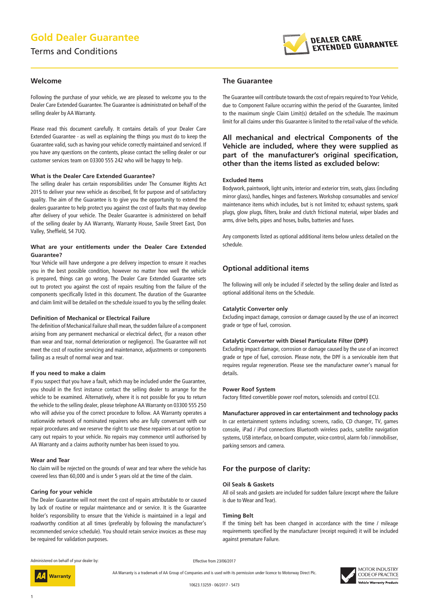# **Gold Dealer Guarantee**

## Terms and Conditions



#### **Welcome**

Following the purchase of your vehicle, we are pleased to welcome you to the Dealer Care Extended Guarantee. The Guarantee is administrated on behalf of the selling dealer by AA Warranty.

Please read this document carefully. It contains details of your Dealer Care Extended Guarantee - as well as explaining the things you must do to keep the Guarantee valid, such as having your vehicle correctly maintained and serviced. If you have any questions on the contents, please contact the selling dealer or our customer services team on 03300 555 242 who will be happy to help.

#### **What is the Dealer Care Extended Guarantee?**

The selling dealer has certain responsibilities under The Consumer Rights Act 2015 to deliver your new vehicle as described, fit for purpose and of satisfactory quality. The aim of the Guarantee is to give you the opportunity to extend the dealers guarantee to help protect you against the cost of faults that may develop after delivery of your vehicle. The Dealer Guarantee is administered on behalf of the selling dealer by AA Warranty, Warranty House, Savile Street East, Don Valley, Sheffield, S4 7UQ.

#### **What are your entitlements under the Dealer Care Extended Guarantee?**

Your Vehicle will have undergone a pre delivery inspection to ensure it reaches you in the best possible condition, however no matter how well the vehicle is prepared, things can go wrong. The Dealer Care Extended Guarantee sets out to protect you against the cost of repairs resulting from the failure of the components specifically listed in this document. The duration of the Guarantee and claim limit will be detailed on the schedule issued to you by the selling dealer.

#### **Definition of Mechanical or Electrical Failure**

The definition of Mechanical Failure shall mean, the sudden failure of a component arising from any permanent mechanical or electrical defect, (for a reason other than wear and tear, normal deterioration or negligence). The Guarantee will not meet the cost of routine servicing and maintenance, adjustments or components failing as a result of normal wear and tear.

#### **If you need to make a claim**

If you suspect that you have a fault, which may be included under the Guarantee, you should in the first instance contact the selling dealer to arrange for the vehicle to be examined. Alternatively, where it is not possible for you to return the vehicle to the selling dealer, please telephone AA Warranty on 03300 555 250 who will advise you of the correct procedure to follow. AA Warranty operates a nationwide network of nominated repairers who are fully conversant with our repair procedures and we reserve the right to use these repairers at our option to carry out repairs to your vehicle. No repairs may commence until authorised by AA Warranty and a claims authority number has been issued to you.

#### **Wear and Tear**

No claim will be rejected on the grounds of wear and tear where the vehicle has covered less than 60,000 and is under 5 years old at the time of the claim.

#### **Caring for your vehicle**

The Dealer Guarantee will not meet the cost of repairs attributable to or caused by lack of routine or regular maintenance and or service. It is the Guarantee holder's responsibility to ensure that the Vehicle is maintained in a legal and roadworthy condition at all times (preferably by following the manufacturer's recommended service schedule). You should retain service invoices as these may be required for validation purposes.

#### **The Guarantee**

The Guarantee will contribute towards the cost of repairs required to Your Vehicle, due to Component Failure occurring within the period of the Guarantee, limited to the maximum single Claim Limit(s) detailed on the schedule. The maximum limit for all claims under this Guarantee is limited to the retail value of the vehicle.

## **All mechanical and electrical Components of the Vehicle are included, where they were supplied as part of the manufacturer's original specification, other than the items listed as excluded below:**

#### **Excluded Items**

Bodywork, paintwork, light units, interior and exterior trim, seats, glass (including mirror glass), handles, hinges and fasteners. Workshop consumables and service/ maintenance items which includes, but is not limited to; exhaust systems, spark plugs, glow plugs, filters, brake and clutch frictional material, wiper blades and arms, drive belts, pipes and hoses, bulbs, batteries and fuses.

Any components listed as optional additional items below unless detailed on the schedule.

## **Optional additional items**

The following will only be included if selected by the selling dealer and listed as optional additional items on the Schedule.

#### **Catalytic Converter only**

Excluding impact damage, corrosion or damage caused by the use of an incorrect grade or type of fuel, corrosion.

#### **Catalytic Converter with Diesel Particulate Filter (DPF)**

Excluding impact damage, corrosion or damage caused by the use of an incorrect grade or type of fuel, corrosion. Please note, the DPF is a serviceable item that requires regular regeneration. Please see the manufacturer owner's manual for details.

#### **Power Roof System**

Factory fitted convertible power roof motors, solenoids and control ECU.

**Manufacturer approved in car entertainment and technology packs** In car entertainment systems including; screens, radio, CD changer, TV, games console, iPad / iPod connections Bluetooth wireless packs, satellite navigation systems, USB interface, on board computer, voice control, alarm fob / immobiliser, parking sensors and camera.

#### **For the purpose of clarity:**

#### **Oil Seals & Gaskets**

All oil seals and gaskets are included for sudden failure (except where the failure is due to Wear and Tear).

#### **Timing Belt**

If the timing belt has been changed in accordance with the time / mileage requirements specified by the manufacturer (receipt required) it will be included against premature Failure.

Administered on behalf of your dealer by:

Warranty

Effective from 23/06/2017

AA Warranty is a trademark of AA Group of Companies and is used with its permission under licence to Motorway Direct Plc.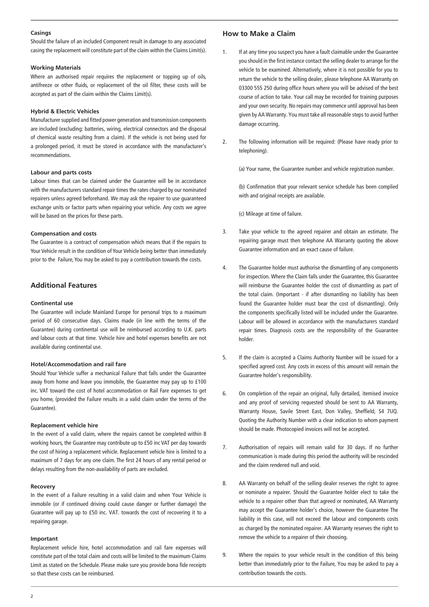#### **Casings**

Should the failure of an included Component result in damage to any associated casing the replacement will constitute part of the claim within the Claims Limit(s).

#### **Working Materials**

Where an authorised repair requires the replacement or topping up of oils, antifreeze or other fluids, or replacement of the oil filter, these costs will be accepted as part of the claim within the Claims Limit(s).

#### **Hybrid & Electric Vehicles**

Manufacturer supplied and fitted power generation and transmission components are included (excluding: batteries, wiring, electrical connectors and the disposal of chemical waste resulting from a claim). If the vehicle is not being used for a prolonged period, it must be stored in accordance with the manufacturer's recommendations.

#### **Labour and parts costs**

Labour times that can be claimed under the Guarantee will be in accordance with the manufacturers standard repair times the rates charged by our nominated repairers unless agreed beforehand. We may ask the repairer to use guaranteed exchange units or factor parts when repairing your vehicle. Any costs we agree will be based on the prices for these parts.

#### **Compensation and costs**

The Guarantee is a contract of compensation which means that if the repairs to Your Vehicle result in the condition of Your Vehicle being better than immediately prior to the Failure, You may be asked to pay a contribution towards the costs.

## **Additional Features**

#### **Continental use**

The Guarantee will include Mainland Europe for personal trips to a maximum period of 60 consecutive days. Claims made (in line with the terms of the Guarantee) during continental use will be reimbursed according to U.K. parts and labour costs at that time. Vehicle hire and hotel expenses benefits are not available during continental use.

#### **Hotel/Accommodation and rail fare**

Should Your Vehicle suffer a mechanical Failure that falls under the Guarantee away from home and leave you immobile, the Guarantee may pay up to £100 inc. VAT toward the cost of hotel accommodation or Rail Fare expenses to get you home, (provided the Failure results in a valid claim under the terms of the Guarantee).

#### **Replacement vehicle hire**

In the event of a valid claim, where the repairs cannot be completed within 8 working hours, the Guarantee may contribute up to £50 inc VAT per day towards the cost of hiring a replacement vehicle. Replacement vehicle hire is limited to a maximum of 7 days for any one claim. The first 24 hours of any rental period or delays resulting from the non-availability of parts are excluded.

#### **Recovery**

In the event of a Failure resulting in a valid claim and when Your Vehicle is immobile (or if continued driving could cause danger or further damage) the Guarantee will pay up to £50 inc. VAT. towards the cost of recovering it to a repairing garage.

#### **Important**

Replacement vehicle hire, hotel accommodation and rail fare expenses will constitute part of the total claim and costs will be limited to the maximum Claims Limit as stated on the Schedule. Please make sure you provide bona fide receipts so that these costs can be reimbursed.

## **How to Make a Claim**

- 1. If at any time you suspect you have a fault claimable under the Guarantee you should in the first instance contact the selling dealer to arrange for the vehicle to be examined. Alternatively, where it is not possible for you to return the vehicle to the selling dealer, please telephone AA Warranty on 03300 555 250 during office hours where you will be advised of the best course of action to take. Your call may be recorded for training purposes and your own security. No repairs may commence until approval has been given by AA Warranty. You must take all reasonable steps to avoid further damage occurring.
- 2. The following information will be required: (Please have ready prior to telephoning).

(a) Your name, the Guarantee number and vehicle registration number.

(b) Confirmation that your relevant service schedule has been complied with and original receipts are available.

(c) Mileage at time of failure.

- 3. Take your vehicle to the agreed repairer and obtain an estimate. The repairing garage must then telephone AA Warranty quoting the above Guarantee information and an exact cause of failure.
- 4. The Guarantee holder must authorise the dismantling of any components for inspection. Where the Claim falls under the Guarantee, this Guarantee will reimburse the Guarantee holder the cost of dismantling as part of the total claim. (Important - if after dismantling no liability has been found the Guarantee holder must bear the cost of dismantling). Only the components specifically listed will be included under the Guarantee. Labour will be allowed in accordance with the manufacturers standard repair times. Diagnosis costs are the responsibility of the Guarantee holder.
- 5. If the claim is accepted a Claims Authority Number will be issued for a specified agreed cost. Any costs in excess of this amount will remain the Guarantee holder's responsibility.
- 6. On completion of the repair an original, fully detailed, itemised invoice and any proof of servicing requested should be sent to AA Warranty, Warranty House, Savile Street East, Don Valley, Sheffield, S4 7UQ. Quoting the Authority Number with a clear indication to whom payment should be made. Photocopied invoices will not be accepted.
- 7. Authorisation of repairs will remain valid for 30 days. If no further communication is made during this period the authority will be rescinded and the claim rendered null and void.
- 8. AA Warranty on behalf of the selling dealer reserves the right to agree or nominate a repairer. Should the Guarantee holder elect to take the vehicle to a repairer other than that agreed or nominated, AA Warranty may accept the Guarantee holder's choice, however the Guarantee The liability in this case, will not exceed the labour and components costs as charged by the nominated repairer. AA Warranty reserves the right to remove the vehicle to a repairer of their choosing.
- 9. Where the repairs to your vehicle result in the condition of this being better than immediately prior to the Failure, You may be asked to pay a contribution towards the costs.